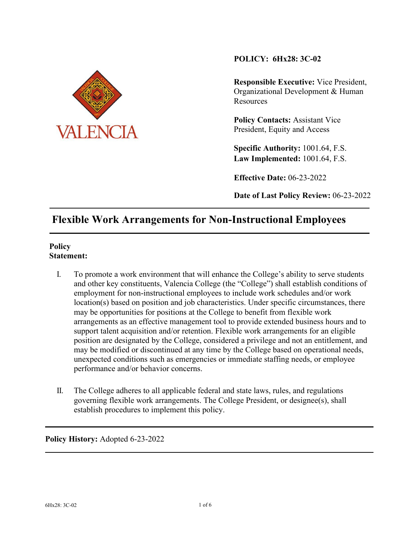

## **POLICY: 6Hx28: 3C-02**

**Responsible Executive:** Vice President, Organizational Development & Human **Resources** 

**Policy Contacts: Assistant Vice** President, Equity and Access

**Specific Authority:** 1001.64, F.S. **Law Implemented:** 1001.64, F.S.

**Effective Date:** 06-23-2022

**Date of Last Policy Review:** 06-23-2022

# **Flexible Work Arrangements for Non-Instructional Employees**

## **Policy Statement:**

- I. To promote a work environment that will enhance the College's ability to serve students and other key constituents, Valencia College (the "College") shall establish conditions of employment for non-instructional employees to include work schedules and/or work location(s) based on position and job characteristics. Under specific circumstances, there may be opportunities for positions at the College to benefit from flexible work arrangements as an effective management tool to provide extended business hours and to support talent acquisition and/or retention. Flexible work arrangements for an eligible position are designated by the College, considered a privilege and not an entitlement, and may be modified or discontinued at any time by the College based on operational needs, unexpected conditions such as emergencies or immediate staffing needs, or employee performance and/or behavior concerns.
- II. The College adheres to all applicable federal and state laws, rules, and regulations governing flexible work arrangements. The College President, or designee(s), shall establish procedures to implement this policy.

**Policy History:** Adopted 6-23-2022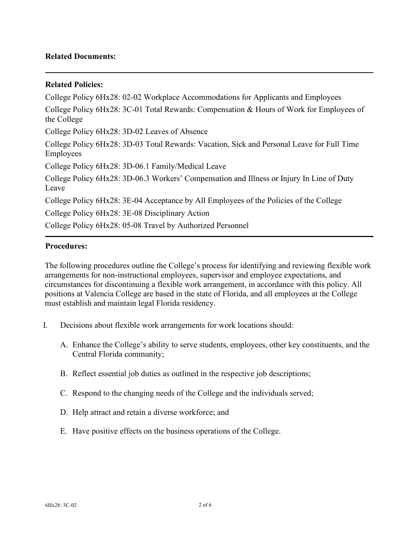## **Related Documents:**

## **Related Policies:**

College Policy 6Hx28: 02-02 Workplace Accommodations for Applicants and Employees College Policy 6Hx28: 3C-01 Total Rewards: Compensation & Hours of Work for Employees of the College College Policy 6Hx28: 3D-02 Leaves of Absence College Policy 6Hx28: 3D-03 Total Rewards: Vacation, Sick and Personal Leave for Full Time Employees College Policy 6Hx28: 3D-06.1 Family/Medical Leave College Policy 6Hx28: 3D-06.3 Workers' Compensation and Illness or Injury In Line of Duty Leave College Policy 6Hx28: 3E-04 Acceptance by All Employees of the Policies of the College College Policy 6Hx28: 3E-08 Disciplinary Action College Policy 6Hx28: 05-08 Travel by Authorized Personnel

## **Procedures:**

The following procedures outline the College's process for identifying and reviewing flexible work arrangements for non-instructional employees, supervisor and employee expectations, and circumstances for discontinuing a flexible work arrangement, in accordance with this policy. All positions at Valencia College are based in the state of Florida, and all employees at the College must establish and maintain legal Florida residency.

- I. Decisions about flexible work arrangements for work locations should:
	- A. Enhance the College's ability to serve students, employees, other key constituents, and the Central Florida community;
	- B. Reflect essential job duties as outlined in the respective job descriptions;
	- C. Respond to the changing needs of the College and the individuals served;
	- D. Help attract and retain a diverse workforce; and
	- E. Have positive effects on the business operations of the College.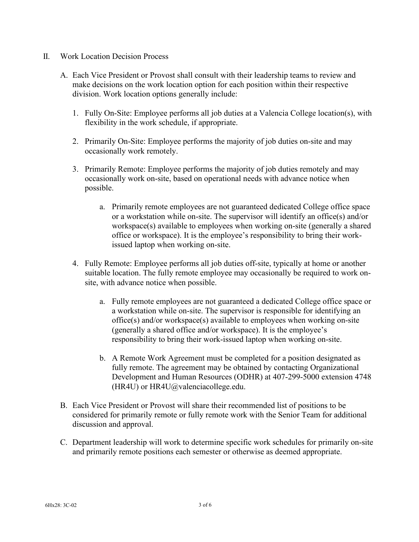- II. Work Location Decision Process
	- A. Each Vice President or Provost shall consult with their leadership teams to review and make decisions on the work location option for each position within their respective division. Work location options generally include:
		- 1. Fully On-Site: Employee performs all job duties at a Valencia College location(s), with flexibility in the work schedule, if appropriate.
		- 2. Primarily On-Site: Employee performs the majority of job duties on-site and may occasionally work remotely.
		- 3. Primarily Remote: Employee performs the majority of job duties remotely and may occasionally work on-site, based on operational needs with advance notice when possible.
			- a. Primarily remote employees are not guaranteed dedicated College office space or a workstation while on-site. The supervisor will identify an office(s) and/or workspace(s) available to employees when working on-site (generally a shared office or workspace). It is the employee's responsibility to bring their workissued laptop when working on-site.
		- 4. Fully Remote: Employee performs all job duties off-site, typically at home or another suitable location. The fully remote employee may occasionally be required to work onsite, with advance notice when possible.
			- a. Fully remote employees are not guaranteed a dedicated College office space or a workstation while on-site. The supervisor is responsible for identifying an office(s) and/or workspace(s) available to employees when working on-site (generally a shared office and/or workspace). It is the employee's responsibility to bring their work-issued laptop when working on-site.
			- b. A Remote Work Agreement must be completed for a position designated as fully remote. The agreement may be obtained by contacting Organizational Development and Human Resources (ODHR) at 407-299-5000 extension 4748 (HR4U) or  $HR4U$ @valenciacollege.edu.
	- B. Each Vice President or Provost will share their recommended list of positions to be considered for primarily remote or fully remote work with the Senior Team for additional discussion and approval.
	- C. Department leadership will work to determine specific work schedules for primarily on-site and primarily remote positions each semester or otherwise as deemed appropriate.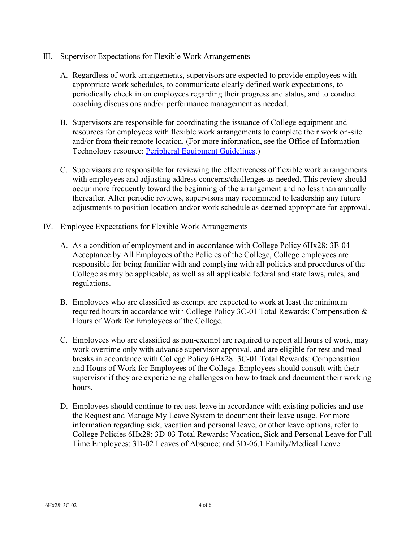- III. Supervisor Expectations for Flexible Work Arrangements
	- A. Regardless of work arrangements, supervisors are expected to provide employees with appropriate work schedules, to communicate clearly defined work expectations, to periodically check in on employees regarding their progress and status, and to conduct coaching discussions and/or performance management as needed.
	- B. Supervisors are responsible for coordinating the issuance of College equipment and resources for employees with flexible work arrangements to complete their work on-site and/or from their remote location. (For more information, see the Office of Information Technology resource: [Peripheral Equipment Guidelines.](https://valenciacollege.teamdynamix.com/TDClient/2067/Portal/KB/ArticleDet?ID=102493))
	- C. Supervisors are responsible for reviewing the effectiveness of flexible work arrangements with employees and adjusting address concerns/challenges as needed. This review should occur more frequently toward the beginning of the arrangement and no less than annually thereafter. After periodic reviews, supervisors may recommend to leadership any future adjustments to position location and/or work schedule as deemed appropriate for approval.
- IV. Employee Expectations for Flexible Work Arrangements
	- A. As a condition of employment and in accordance with College Policy 6Hx28: 3E-04 Acceptance by All Employees of the Policies of the College, College employees are responsible for being familiar with and complying with all policies and procedures of the College as may be applicable, as well as all applicable federal and state laws, rules, and regulations.
	- B. Employees who are classified as exempt are expected to work at least the minimum required hours in accordance with College Policy 3C-01 Total Rewards: Compensation & Hours of Work for Employees of the College.
	- C. Employees who are classified as non-exempt are required to report all hours of work, may work overtime only with advance supervisor approval, and are eligible for rest and meal breaks in accordance with College Policy 6Hx28: 3C-01 Total Rewards: Compensation and Hours of Work for Employees of the College. Employees should consult with their supervisor if they are experiencing challenges on how to track and document their working hours.
	- D. Employees should continue to request leave in accordance with existing policies and use the Request and Manage My Leave System to document their leave usage. For more information regarding sick, vacation and personal leave, or other leave options, refer to College Policies 6Hx28: 3D-03 Total Rewards: Vacation, Sick and Personal Leave for Full Time Employees; 3D-02 Leaves of Absence; and 3D-06.1 Family/Medical Leave.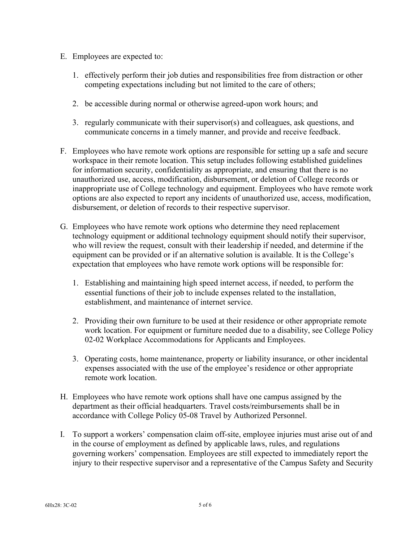- E. Employees are expected to:
	- 1. effectively perform their job duties and responsibilities free from distraction or other competing expectations including but not limited to the care of others;
	- 2. be accessible during normal or otherwise agreed-upon work hours; and
	- 3. regularly communicate with their supervisor(s) and colleagues, ask questions, and communicate concerns in a timely manner, and provide and receive feedback.
- F. Employees who have remote work options are responsible for setting up a safe and secure workspace in their remote location. This setup includes following established guidelines for information security, confidentiality as appropriate, and ensuring that there is no unauthorized use, access, modification, disbursement, or deletion of College records or inappropriate use of College technology and equipment. Employees who have remote work options are also expected to report any incidents of unauthorized use, access, modification, disbursement, or deletion of records to their respective supervisor.
- G. Employees who have remote work options who determine they need replacement technology equipment or additional technology equipment should notify their supervisor, who will review the request, consult with their leadership if needed, and determine if the equipment can be provided or if an alternative solution is available. It is the College's expectation that employees who have remote work options will be responsible for:
	- 1. Establishing and maintaining high speed internet access, if needed, to perform the essential functions of their job to include expenses related to the installation, establishment, and maintenance of internet service.
	- 2. Providing their own furniture to be used at their residence or other appropriate remote work location. For equipment or furniture needed due to a disability, see College Policy 02-02 Workplace Accommodations for Applicants and Employees.
	- 3. Operating costs, home maintenance, property or liability insurance, or other incidental expenses associated with the use of the employee's residence or other appropriate remote work location.
- H. Employees who have remote work options shall have one campus assigned by the department as their official headquarters. Travel costs/reimbursements shall be in accordance with College Policy 05-08 Travel by Authorized Personnel.
- I. To support a workers' compensation claim off-site, employee injuries must arise out of and in the course of employment as defined by applicable laws, rules, and regulations governing workers' compensation. Employees are still expected to immediately report the injury to their respective supervisor and a representative of the Campus Safety and Security